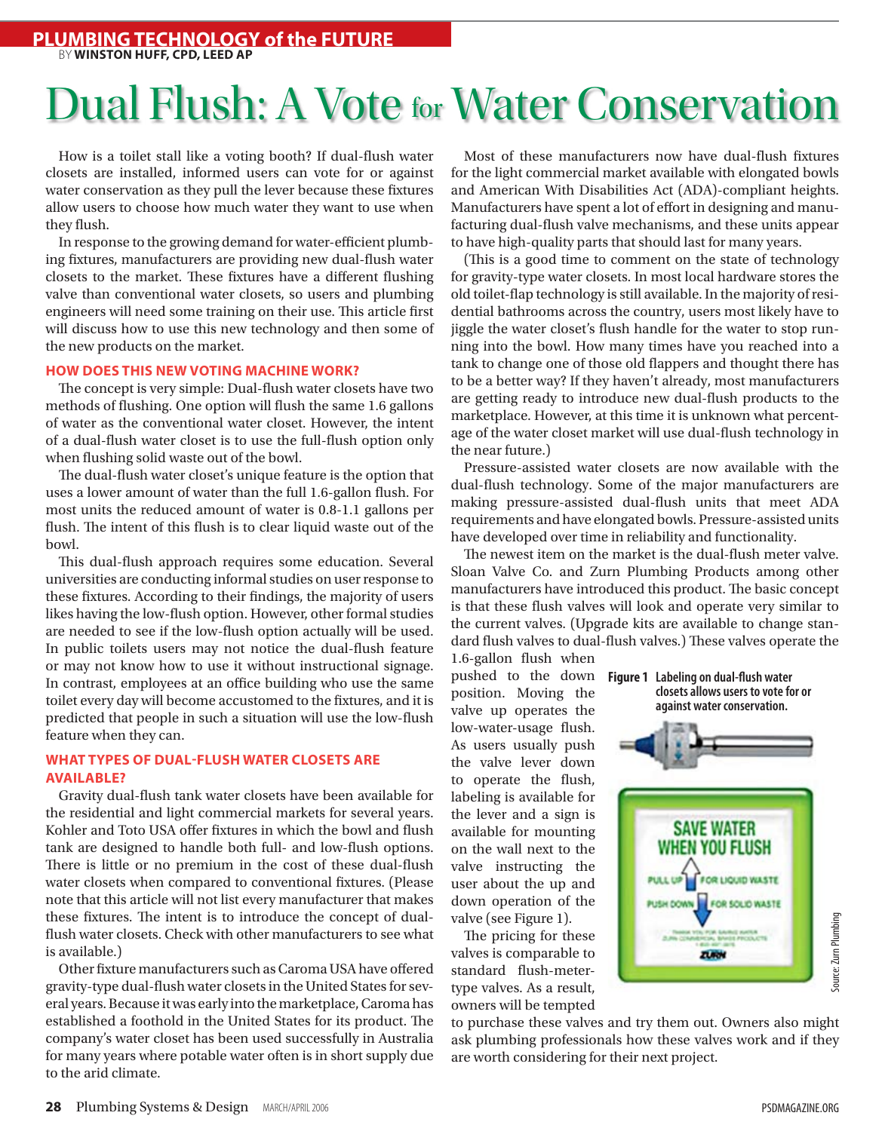# Dual Flush: A Vote for Water Conservation

How is a toilet stall like a voting booth? If dual-flush water closets are installed, informed users can vote for or against water conservation as they pull the lever because these fixtures allow users to choose how much water they want to use when they flush.

In response to the growing demand for water-efficient plumbing fixtures, manufacturers are providing new dual-flush water closets to the market. These fixtures have a different flushing valve than conventional water closets, so users and plumbing engineers will need some training on their use. This article first will discuss how to use this new technology and then some of the new products on the market.

#### **How Does This New Voting Machine Work?**

The concept is very simple: Dual-flush water closets have two methods of flushing. One option will flush the same 1.6 gallons of water as the conventional water closet. However, the intent of a dual-flush water closet is to use the full-flush option only when flushing solid waste out of the bowl.

The dual-flush water closet's unique feature is the option that uses a lower amount of water than the full 1.6-gallon flush. For most units the reduced amount of water is 0.8-1.1 gallons per flush. The intent of this flush is to clear liquid waste out of the bowl.

This dual-flush approach requires some education. Several universities are conducting informal studies on userresponse to these fixtures. According to their findings, the majority of users likes having the low-flush option. However, other formal studies are needed to see if the low-flush option actually will be used. In public toilets users may not notice the dual-flush feature or may not know how to use it without instructional signage. In contrast, employees at an office building who use the same toilet every day will become accustomed to the fixtures, and it is predicted that people in such a situation will use the low-flush feature when they can.

#### **What Types of Dual-flush Water Closets Are Available?**

Gravity dual-flush tank water closets have been available for the residential and light commercial markets for several years. Kohler and Toto USA offer fixtures in which the bowl and flush tank are designed to handle both full- and low-flush options. There is little or no premium in the cost of these dual-flush water closets when compared to conventional fixtures. (Please note that this article will not list every manufacturer that makes these fixtures. The intent is to introduce the concept of dualflush water closets. Check with other manufacturers to see what is available.)

Other fixture manufacturers such as Caroma USA have offered gravity-type dual-flush water closets in the United States for several years. Because it was early into the marketplace, Caroma has established a foothold in the United States for its product. The company's water closet has been used successfully in Australia for many years where potable water often is in short supply due to the arid climate.

Most of these manufacturers now have dual-flush fixtures for the light commercial market available with elongated bowls and American With Disabilities Act (ADA)-compliant heights. Manufacturers have spent a lot of effort in designing and manufacturing dual-flush valve mechanisms, and these units appear to have high-quality parts that should last for many years.

(This is a good time to comment on the state of technology for gravity-type water closets. In most local hardware stores the old toilet-flap technology is still available. In the majority ofresidential bathrooms across the country, users most likely have to jiggle the water closet's flush handle for the water to stop running into the bowl. How many times have you reached into a tank to change one of those old flappers and thought there has to be a better way? If they haven't already, most manufacturers are getting ready to introduce new dual-flush products to the marketplace. However, at this time it is unknown what percentage of the water closet market will use dual-flush technology in the near future.)

Pressure-assisted water closets are now available with the dual-flush technology. Some of the major manufacturers are making pressure-assisted dual-flush units that meet ADA requirements and have elongated bowls. Pressure-assisted units have developed over time in reliability and functionality.

The newest item on the market is the dual-flush meter valve. Sloan Valve Co. and Zurn Plumbing Products among other manufacturers have introduced this product. The basic concept is that these flush valves will look and operate very similar to the current valves. (Upgrade kits are available to change standard flush valves to dual-flush valves.) These valves operate the

1.6-gallon flush when pushed to the down **Figure 1 Labeling on dual-flush water**  position. Moving the valve up operates the low-water-usage flush. As users usually push the valve lever down to operate the flush, labeling is available for the lever and a sign is available for mounting on the wall next to the valve instructing the user about the up and down operation of the valve (see Figure 1).

The pricing for these valves is comparable to standard flush-metertype valves. As a result, owners will be tempted

to purchase these valves and try them out. Owners also might ask plumbing professionals how these valves work and if they are worth considering for their next project.

**closets allows users to vote for or against water conservation.**

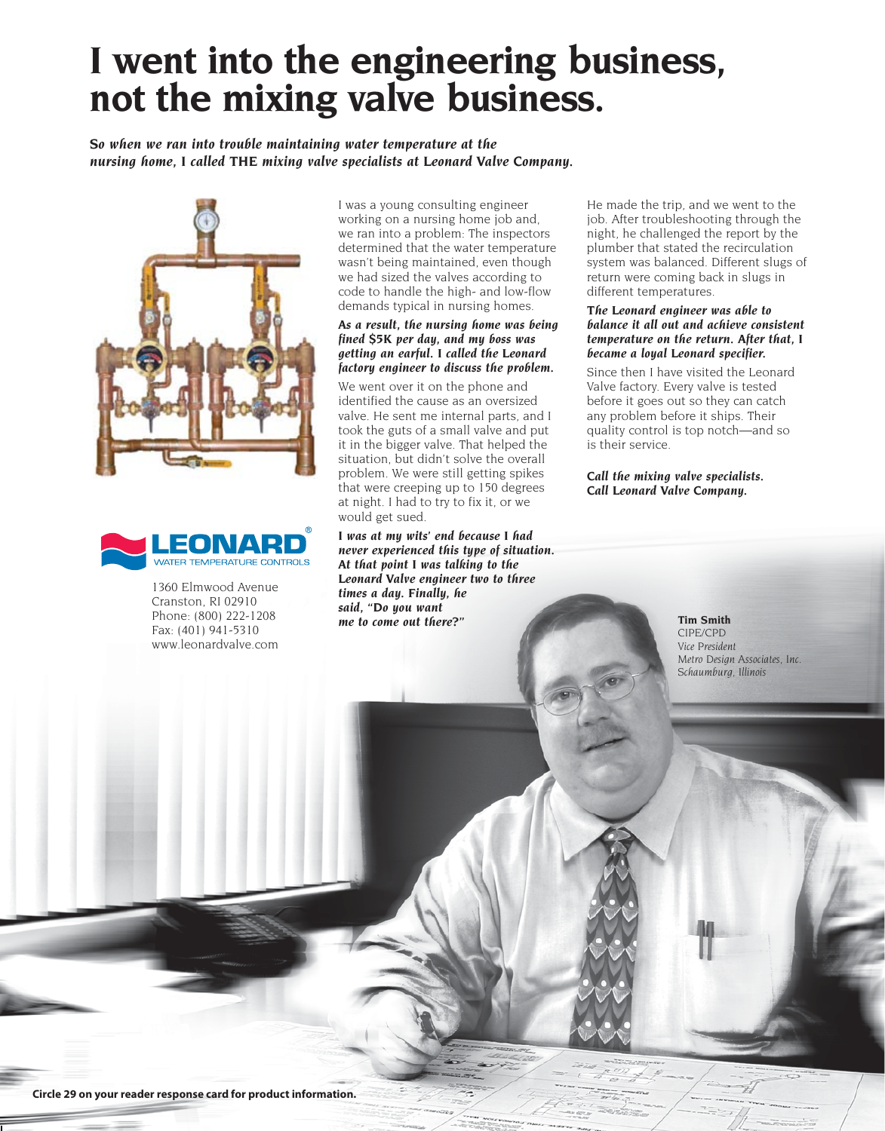## **I went into the engineering business, not the mixing valve business.**

*So when we ran into trouble maintaining water temperature at the nursing home, I called THE mixing valve specialists at Leonard Valve Company.*





1360 Elmwood Avenue Cranston, RI 02910 Phone: (800) 222-1208 Fax: (401) 941-5310 www.leonardvalve.com

I was a young consulting engineer working on a nursing home job and, we ran into a problem: The inspectors determined that the water temperature wasn't being maintained, even though we had sized the valves according to code to handle the high- and low-flow demands typical in nursing homes.

#### *As a result, the nursing home was being fined \$5K per day, and my boss was getting an earful. I called the Leonard factory engineer to discuss the problem.*

We went over it on the phone and identified the cause as an oversized valve. He sent me internal parts, and I took the guts of a small valve and put it in the bigger valve. That helped the situation, but didn't solve the overall problem. We were still getting spikes that were creeping up to 150 degrees at night. I had to try to fix it, or we would get sued.

*I was at my wits' end because I had never experienced this type of situation. At that point I was talking to the Leonard Valve engineer two to three times a day. Finally, he said, "Do you want me to come out there?"*

He made the trip, and we went to the job. After troubleshooting through the night, he challenged the report by the plumber that stated the recirculation system was balanced. Different slugs of return were coming back in slugs in different temperatures.

#### *The Leonard engineer was able to balance it all out and achieve consistent temperature on the return. After that, I became a loyal Leonard specifier.*

Since then I have visited the Leonard Valve factory. Every valve is tested before it goes out so they can catch any problem before it ships. Their quality control is top notch—and so is their service.

*Call the mixing valve specialists. Call Leonard Valve Company.*

> **Tim Smith** *CIPE/CPD Vice President Metro Design Associates, Inc. Schaumburg, Illinois*

**Circle 29 on your reader response card for product information.**